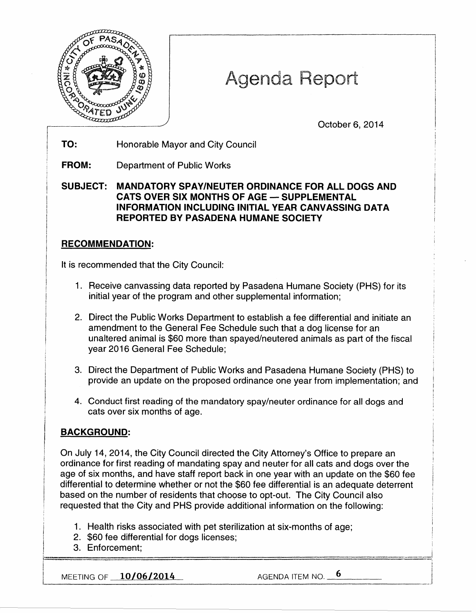

# Agenda Report

October 6, 2014

TO: Honorable Mayor and City Council

FROM: Department of Public Works

SUBJECT: MANDATORY SPAY/NEUTER ORDINANCE FOR ALL DOGS AND CATS OVER SIX MONTHS OF AGE - SUPPLEMENTAL INFORMATION INCLUDING INITIAL YEAR CANVASSING DATA REPORTED BY PASADENA HUMANE SOCIETY

## RECOMMENDATION:

It is recommended that the City Council:

- 1. Receive canvassing data reported by Pasadena Humane Society (PHS) for its initial year of the program and other supplemental information;
- 2. Direct the Public Works Department to establish a fee differential and initiate an amendment to the General Fee Schedule such that a dog license for an unaltered animal is \$60 more than spayed/neutered animals as part of the fiscal year 2016 General Fee Schedule;
- 3. Direct the Department of Public Works and Pasadena Humane Society (PHS) to provide an update on the proposed ordinance one year from implementation; and
- 4. Conduct first reading of the mandatory spay/neuter ordinance for all dogs and cats over six months of age.

## BACKGROUND:

On July 14, 2014, the City Council directed the City Attorney's Office to prepare an ordinance for first reading of mandating spay and neuter for all cats and dogs over the age of six months, and have staff report back in one year with an update on the \$60 fee differential to determine whether or not the \$60 fee differential is an adequate deterrent based on the number of residents that choose to opt-out. The City Council also requested that the City and PHS provide additional information on the following:

- 1. Health risks associated with pet sterilization at six-months of age;
- 2. \$60 fee differential for dogs licenses;
- 3. Enforcement; r=================================-··=- - i

|<br>|<br>|-

MEETING OF <u>10/06/2014</u> AGENDA ITEM NO. 5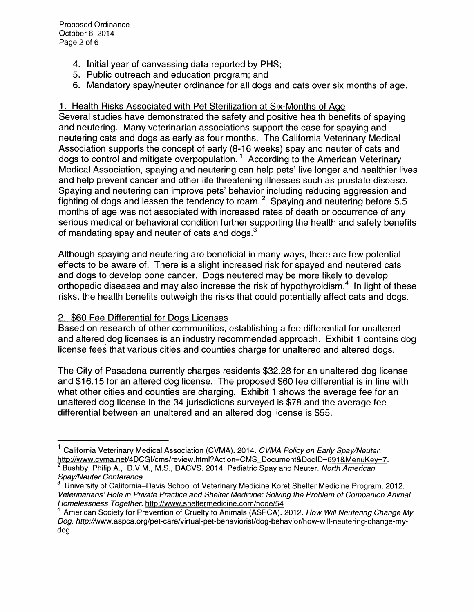- 4. Initial year of canvassing data reported by PHS;
- 5. Public outreach and education program; and
- 6. Mandatory spay/neuter ordinance for all dogs and cats over six months of age.

## 1. Health Risks Associated with Pet Sterilization at Six-Months of Age

Several studies have demonstrated the safety and positive health benefits of spaying and neutering. Many veterinarian associations support the case for spaying and neutering cats and dogs as early as four months. The California Veterinary Medical Association supports the concept of early (8-16 weeks) spay and neuter of cats and dogs to control and mitigate overpopulation.<sup>1</sup> According to the American Veterinary Medical Association, spaying and neutering can help pets' live longer and healthier lives and help prevent cancer and other life threatening illnesses such as prostate disease. Spaying and neutering can improve pets' behavior including reducing aggression and fighting of dogs and lessen the tendency to roam. 2 Spaying and neutering before 5.5 months of age was not associated with increased rates of death or occurrence of any serious medical or behavioral condition further supporting the health and safety benefits of mandating spay and neuter of cats and dogs. $3$ 

Although spaying and neutering are beneficial in many ways, there are few potential effects to be aware of. There is a slight increased risk for spayed and neutered cats and dogs to develop bone cancer. Dogs neutered may be more likely to develop orthopedic diseases and may also increase the risk of hypothyroidism.<sup>4</sup> In light of these risks, the health benefits outweigh the risks that could potentially affect cats and dogs.

## 2. \$60 Fee Differential for Dogs Licenses

Based on research of other communities, establishing a fee differential for unaltered and altered dog licenses is an industry recommended approach. Exhibit 1 contains dog license fees that various cities and counties charge for unaltered and altered dogs.

The City of Pasadena currently charges residents \$32.28 for an unaltered dog license and \$16.15 for an altered dog license. The proposed \$60 fee differential is in line with what other cities and counties are charging. Exhibit 1 shows the average fee for an unaltered dog license in the 34 jurisdictions surveyed is \$78 and the average fee differential between an unaltered and an altered dog license is \$55.

<sup>&</sup>lt;sup>1</sup> California Veterinary Medical Association (CVMA). 2014. CVMA Policy on Early Spay/Neuter. http://www.cvma.net/4DCGI/cms/review.html?Action=CMS\_Document&DocID=691&MenuKey=7.<br><sup>2</sup> Bushby, Philip A., D.V.M., M.S., DACVS. 2014. Pediatric Spay and Neuter. North American<br>Spay/Neuter Conference.

University of California-Davis School of Veterinary Medicine Koret Shelter Medicine Program. 2012. Veterinarians' Role in Private Practice and Shelter Medicine: Solving the Problem of Companion Animal Homelessness Together. http://www.sheltermedicine.com/node/54<br><sup>4</sup> American Society for Prevention of Cruelty to Animals (ASPCA). 2012. How Will Neutering Change My

Dog. http://www.aspca.org/pet-care/virtual-pet-behaviorist/dog-behavior/how-will-neutering-change-mydog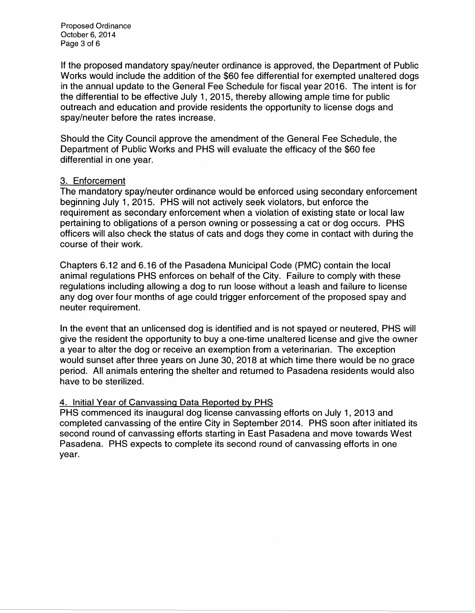Proposed Ordinance October 6, 2014 Page 3 of 6

If the proposed mandatory spay/neuter ordinance is approved, the Department of Public Works would include the addition of the \$60 fee differential for exempted unaltered dogs in the annual update to the General Fee Schedule for fiscal year 2016. The intent is for the differential to be effective July 1, 2015, thereby allowing ample time for public outreach and education and provide residents the opportunity to license dogs and spay/neuter before the rates increase.

Should the City Council approve the amendment of the General Fee Schedule, the Department of Public Works and PHS will evaluate the efficacy of the \$60 fee differential in one year.

#### 3. Enforcement

The mandatory spay/neuter ordinance would be enforced using secondary enforcement beginning July 1, 2015. PHS will not actively seek violators, but enforce the requirement as secondary enforcement when a violation of existing state or local law pertaining to obligations of a person owning or possessing a cat or dog occurs. PHS officers will also check the status of cats and dogs they come in contact with during the course of their work.

Chapters 6.12 and 6.16 of the Pasadena Municipal Code (PMC) contain the local animal regulations PHS enforces on behalf of the City. Failure to comply with these regulations including allowing a dog to run loose without a leash and failure to license any dog over four months of age could trigger enforcement of the proposed spay and neuter requirement.

In the event that an unlicensed dog is identified and is not spayed or neutered, PHS will give the resident the opportunity to buy a one-time unaltered license and give the owner a year to alter the dog or receive an exemption from a veterinarian. The exception would sunset after three years on June 30, 2018 at which time there would be no grace period. All animals entering the shelter and returned to Pasadena residents would also have to be sterilized.

#### 4. Initial Year of Canvassing Data Reported by PHS

PHS commenced its inaugural dog license canvassing efforts on July 1, 2013 and completed canvassing of the entire City in September 2014. PHS soon after initiated its second round of canvassing efforts starting in East Pasadena and move towards West Pasadena. PHS expects to complete its second round of canvassing efforts in one year.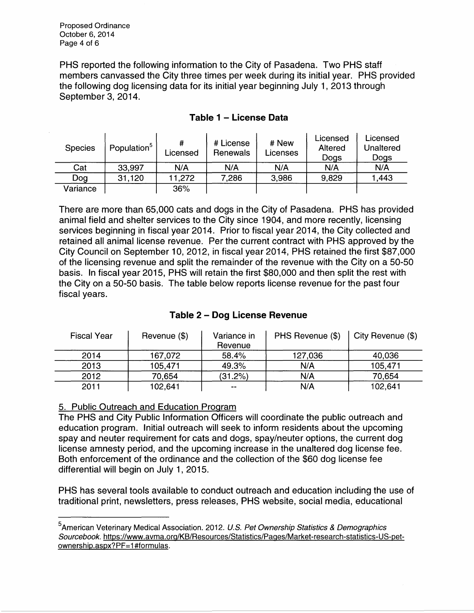Proposed Ordinance October 6, 2014 Page 4 of 6

PHS reported the following information to the City of Pasadena. Two PHS staff members canvassed the City three times per week during its initial year. PHS provided the following dog licensing data for its initial year beginning July 1, 2013 through September 3, 2014.

| <b>Species</b> | Population <sup>5</sup> | Licensed | # License<br>Renewals | # New<br>Licenses | Licensed<br>Altered<br>Dogs | Licensed<br>Unaltered<br>Dogs |
|----------------|-------------------------|----------|-----------------------|-------------------|-----------------------------|-------------------------------|
| Cat            | 33,997                  | N/A      | N/A                   | N/A               | N/A                         | N/A                           |
| Dog            | 31,120                  | 11.272   | 7,286                 | 3,986             | 9.829                       | 1,443                         |
| Variance       |                         | 36%      |                       |                   |                             |                               |

## **Table 1 - License Data**

There are more than 65,000 cats and dogs in the City of Pasadena. PHS has provided animal field and shelter services to the City since 1904, and more recently, licensing services beginning in fiscal year 2014. Prior to fiscal year 2014, the City collected and retained all animal license revenue. Per the current contract with PHS approved by the City Council on September 10, 2012, in fiscal year 2014, PHS retained the first \$87,000 of the licensing revenue and split the remainder of the revenue with the City on a 50-50 basis. In fiscal year 2015, PHS will retain the first \$80,000 and then split the rest with the City on a 50-50 basis. The table below reports license revenue for the past four fiscal years.

| <b>Fiscal Year</b> | Revenue (\$) | Variance in<br>Revenue   | PHS Revenue (\$) | City Revenue (\$) |
|--------------------|--------------|--------------------------|------------------|-------------------|
| 2014               | 167,072      | 58.4%                    | 127,036          | 40,036            |
| 2013               | 105,471      | 49.3%                    | N/A              | 105,471           |
| 2012               | 70,654       | (31.2%)                  | N/A              | 70,654            |
| 2011               | 102,641      | $\overline{\phantom{a}}$ | N/A              | 102,641           |

## **Table 2 - Dog License Revenue**

#### 5. Public Outreach and Education Program

The PHS and City Public Information Officers will coordinate the public outreach and education program. Initial outreach will seek to inform residents about the upcoming spay and neuter requirement for cats and dogs, spay/neuter options, the current dog license amnesty period, and the upcoming increase in the unaltered dog license fee. Both enforcement of the ordinance and the collection of the \$60 dog license fee differential will begin on July 1, 2015.

PHS has several tools available to conduct outreach and education including the use of traditional print, newsletters, press releases, PHS website, social media, educational

<sup>&</sup>lt;sup>5</sup> American Veterinary Medical Association. 2012. U.S. Pet Ownership Statistics & Demographics Sourcebook. https://www.avma.org/KB/Resources/Statistics/Pages/Market-research-statistics-US-petownership.aspx?PF=1 #formulas.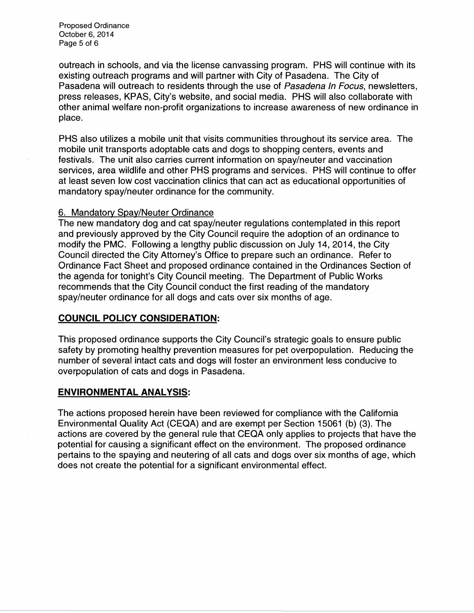Proposed Ordinance October 6, 2014 Page 5 of 6

outreach in schools, and via the license canvassing program. PHS will continue with its existing outreach programs and will partner with City of Pasadena. The City of Pasadena will outreach to residents through the use of Pasadena In Focus, newsletters, press releases, KPAS, City's website, and social media. PHS will also collaborate with other animal welfare non-profit organizations to increase awareness of new ordinance in place.

PHS also utilizes a mobile unit that visits communities throughout its service area. The mobile unit transports adoptable cats and dogs to shopping centers, events and festivals. The unit also carries current information on spay/neuter and vaccination services, area wildlife and other PHS programs and services. PHS will continue to offer at least seven low cost vaccination clinics that can act as educational opportunities of mandatory spay/neuter ordinance for the community.

#### 6. Mandatory Spay/Neuter Ordinance

The new mandatory dog and cat spay/neuter regulations contemplated in this report and previously approved by the City Council require the adoption of an ordinance to modify the PMC. Following a lengthy public discussion on July 14, 2014, the City Council directed the City Attorney's Office to prepare such an ordinance. Refer to Ordinance Fact Sheet and proposed ordinance contained in the Ordinances Section of the agenda for tonight's City Council meeting. The Department of Public Works recommends that the City Council conduct the first reading of the mandatory spay/neuter ordinance for all dogs and cats over six months of age.

## **COUNCIL POLICY CONSIDERATION:**

This proposed ordinance supports the City Council's strategic goals to ensure public safety by promoting healthy prevention measures for pet overpopulation. Reducing the number of several intact cats and dogs will foster an environment less conducive to overpopulation of cats and dogs in Pasadena.

## **ENVIRONMENTAL ANALYSIS:**

The actions proposed herein have been reviewed for compliance with the California Environmental Quality Act (CEQA) and are exempt per Section 15061 (b) (3). The actions are covered by the general rule that CEQA only applies to projects that have the potential for causing a significant effect on the environment. The proposed ordinance pertains to the spaying and neutering of all cats and dogs over six months of age, which does not create the potential for a significant environmental effect.